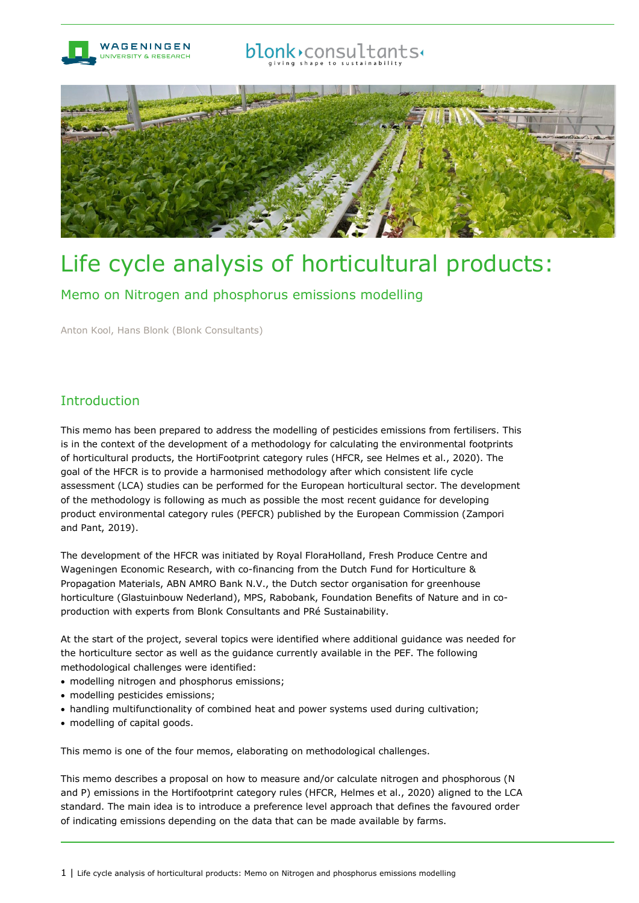

## blonk>consultants+



# Life cycle analysis of horticultural products:

Memo on Nitrogen and phosphorus emissions modelling

Anton Kool, Hans Blonk (Blonk Consultants)

## Introduction

This memo has been prepared to address the modelling of pesticides emissions from fertilisers. This is in the context of the development of a methodology for calculating the environmental footprints of horticultural products, the HortiFootprint category rules (HFCR, see Helmes et al., 2020). The goal of the HFCR is to provide a harmonised methodology after which consistent life cycle assessment (LCA) studies can be performed for the European horticultural sector. The development of the methodology is following as much as possible the most recent guidance for developing product environmental category rules (PEFCR) published by the European Commission (Zampori and Pant, 2019).

The development of the HFCR was initiated by Royal FloraHolland, Fresh Produce Centre and Wageningen Economic Research, with co-financing from the Dutch Fund for Horticulture & Propagation Materials, ABN AMRO Bank N.V., the Dutch sector organisation for greenhouse horticulture (Glastuinbouw Nederland), MPS, Rabobank, Foundation Benefits of Nature and in coproduction with experts from Blonk Consultants and PRé Sustainability.

At the start of the project, several topics were identified where additional guidance was needed for the horticulture sector as well as the guidance currently available in the PEF. The following methodological challenges were identified:

- modelling nitrogen and phosphorus emissions;
- modelling pesticides emissions;
- handling multifunctionality of combined heat and power systems used during cultivation;
- modelling of capital goods.

This memo is one of the four memos, elaborating on methodological challenges.

This memo describes a proposal on how to measure and/or calculate nitrogen and phosphorous (N and P) emissions in the Hortifootprint category rules (HFCR, Helmes et al., 2020) aligned to the LCA standard. The main idea is to introduce a preference level approach that defines the favoured order of indicating emissions depending on the data that can be made available by farms.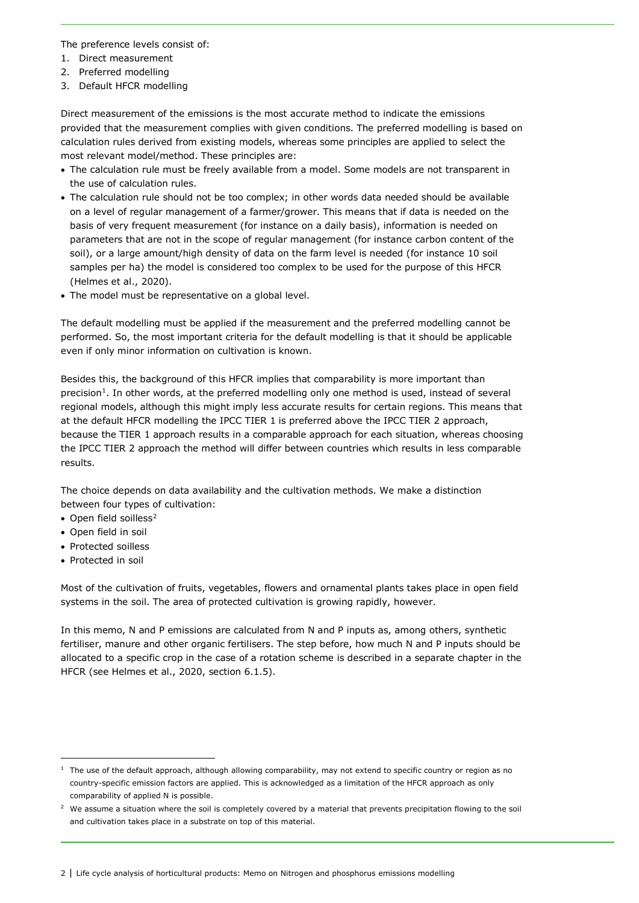The preference levels consist of:

- 1. Direct measurement
- 2. Preferred modelling
- 3. Default HFCR modelling

Direct measurement of the emissions is the most accurate method to indicate the emissions provided that the measurement complies with given conditions. The preferred modelling is based on calculation rules derived from existing models, whereas some principles are applied to select the most relevant model/method. These principles are:

- The calculation rule must be freely available from a model. Some models are not transparent in the use of calculation rules.
- The calculation rule should not be too complex; in other words data needed should be available on a level of regular management of a farmer/grower. This means that if data is needed on the basis of very frequent measurement (for instance on a daily basis), information is needed on parameters that are not in the scope of regular management (for instance carbon content of the soil), or a large amount/high density of data on the farm level is needed (for instance 10 soil samples per ha) the model is considered too complex to be used for the purpose of this HFCR (Helmes et al., 2020).
- The model must be representative on a global level.

The default modelling must be applied if the measurement and the preferred modelling cannot be performed. So, the most important criteria for the default modelling is that it should be applicable even if only minor information on cultivation is known.

Besides this, the background of this HFCR implies that comparability is more important than precision<sup>1</sup>. In other words, at the preferred modelling only one method is used, instead of several regional models, although this might imply less accurate results for certain regions. This means that at the default HFCR modelling the IPCC TIER 1 is preferred above the IPCC TIER 2 approach, because the TIER 1 approach results in a comparable approach for each situation, whereas choosing the IPCC TIER 2 approach the method will differ between countries which results in less comparable results.

The choice depends on data availability and the cultivation methods. We make a distinction between four types of cultivation:

- Open field soilless $2$
- Open field in soil
- Protected soilless
- Protected in soil

Most of the cultivation of fruits, vegetables, flowers and ornamental plants takes place in open field systems in the soil. The area of protected cultivation is growing rapidly, however.

In this memo, N and P emissions are calculated from N and P inputs as, among others, synthetic fertiliser, manure and other organic fertilisers. The step before, how much N and P inputs should be allocated to a specific crop in the case of a rotation scheme is described in a separate chapter in the HFCR (see Helmes et al., 2020, section 6.1.5).

<span id="page-1-0"></span> $1$  The use of the default approach, although allowing comparability, may not extend to specific country or region as no country-specific emission factors are applied. This is acknowledged as a limitation of the HFCR approach as only comparability of applied N is possible.

<span id="page-1-1"></span><sup>&</sup>lt;sup>2</sup> We assume a situation where the soil is completely covered by a material that prevents precipitation flowing to the soil and cultivation takes place in a substrate on top of this material.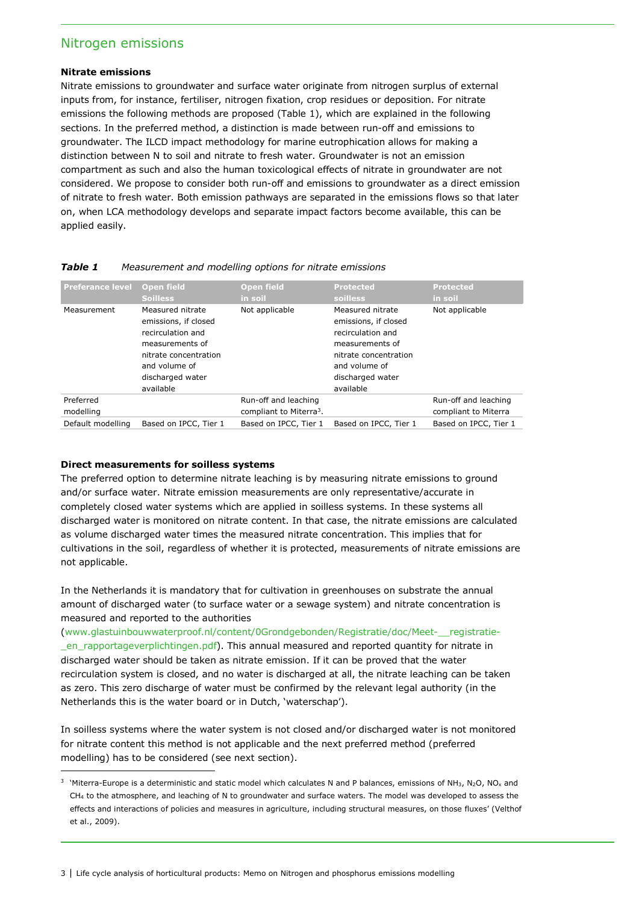### Nitrogen emissions

#### **Nitrate emissions**

Nitrate emissions to groundwater and surface water originate from nitrogen surplus of external inputs from, for instance, fertiliser, nitrogen fixation, crop residues or deposition. For nitrate emissions the following methods are proposed (Table 1), which are explained in the following sections. In the preferred method, a distinction is made between run-off and emissions to groundwater. The ILCD impact methodology for marine eutrophication allows for making a distinction between N to soil and nitrate to fresh water. Groundwater is not an emission compartment as such and also the human toxicological effects of nitrate in groundwater are not considered. We propose to consider both run-off and emissions to groundwater as a direct emission of nitrate to fresh water. Both emission pathways are separated in the emissions flows so that later on, when LCA methodology develops and separate impact factors become available, this can be applied easily.

| <b>Preferance level</b> | <b>Open field</b><br><b>Soilless</b>                                                                                                                        | <b>Open field</b><br>in soil                                | <b>Protected</b><br><b>soilless</b>                                                                                                                         | <b>Protected</b><br>in soil                  |
|-------------------------|-------------------------------------------------------------------------------------------------------------------------------------------------------------|-------------------------------------------------------------|-------------------------------------------------------------------------------------------------------------------------------------------------------------|----------------------------------------------|
| Measurement             | Measured nitrate<br>emissions, if closed<br>recirculation and<br>measurements of<br>nitrate concentration<br>and volume of<br>discharged water<br>available | Not applicable                                              | Measured nitrate<br>emissions, if closed<br>recirculation and<br>measurements of<br>nitrate concentration<br>and volume of<br>discharged water<br>available | Not applicable                               |
| Preferred<br>modelling  |                                                                                                                                                             | Run-off and leaching<br>compliant to Miterra <sup>3</sup> . |                                                                                                                                                             | Run-off and leaching<br>compliant to Miterra |
| Default modelling       | Based on IPCC, Tier 1                                                                                                                                       | Based on IPCC, Tier 1                                       | Based on IPCC, Tier 1                                                                                                                                       | Based on IPCC, Tier 1                        |

#### *Table 1 Measurement and modelling options for nitrate emissions*

#### **Direct measurements for soilless systems**

The preferred option to determine nitrate leaching is by measuring nitrate emissions to ground and/or surface water. Nitrate emission measurements are only representative/accurate in completely closed water systems which are applied in soilless systems. In these systems all discharged water is monitored on nitrate content. In that case, the nitrate emissions are calculated as volume discharged water times the measured nitrate concentration. This implies that for cultivations in the soil, regardless of whether it is protected, measurements of nitrate emissions are not applicable.

In the Netherlands it is mandatory that for cultivation in greenhouses on substrate the annual amount of discharged water (to surface water or a sewage system) and nitrate concentration is measured and reported to the authorities

[\(www.glastuinbouwwaterproof.nl/content/0Grondgebonden/Registratie/doc/Meet-\\_\\_registratie-](https://www.glastuinbouwwaterproof.nl/content/0Grondgebonden/Registratie/doc/Meet-__registratie-_en_rapportageverplichtingen.pdf) [\\_en\\_rapportageverplichtingen.pdf\)](https://www.glastuinbouwwaterproof.nl/content/0Grondgebonden/Registratie/doc/Meet-__registratie-_en_rapportageverplichtingen.pdf). This annual measured and reported quantity for nitrate in discharged water should be taken as nitrate emission. If it can be proved that the water recirculation system is closed, and no water is discharged at all, the nitrate leaching can be taken as zero. This zero discharge of water must be confirmed by the relevant legal authority (in the Netherlands this is the water board or in Dutch, 'waterschap').

In soilless systems where the water system is not closed and/or discharged water is not monitored for nitrate content this method is not applicable and the next preferred method (preferred modelling) has to be considered (see next section).

<span id="page-2-0"></span><sup>&</sup>lt;sup>3</sup> 'Miterra-Europe is a deterministic and static model which calculates N and P balances, emissions of NH<sub>3</sub>, N<sub>2</sub>O, NO<sub>x</sub> and CH4 to the atmosphere, and leaching of N to groundwater and surface waters. The model was developed to assess the effects and interactions of policies and measures in agriculture, including structural measures, on those fluxes' (Velthof et al., 2009).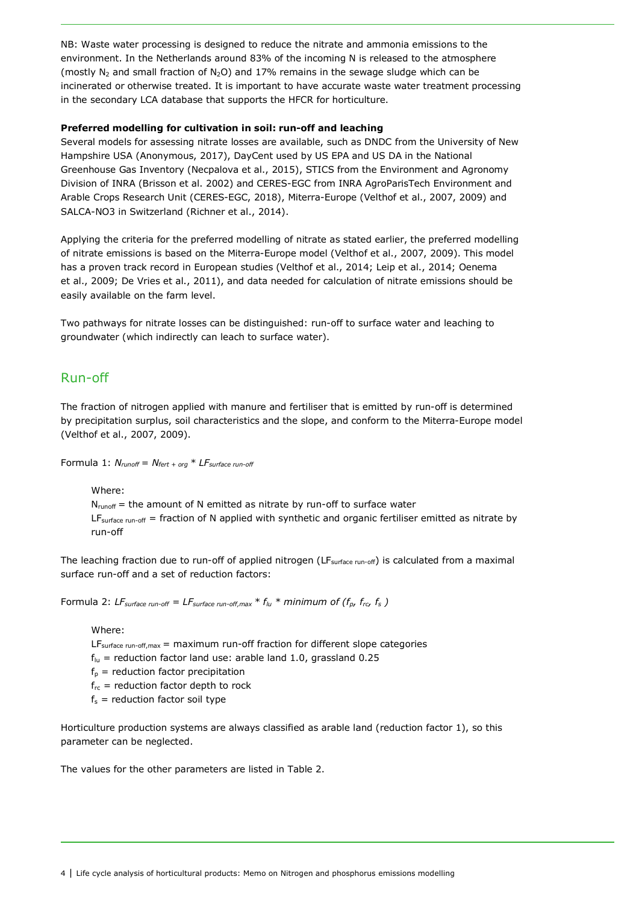NB: Waste water processing is designed to reduce the nitrate and ammonia emissions to the environment. In the Netherlands around 83% of the incoming N is released to the atmosphere (mostly  $N_2$  and small fraction of  $N_2O$ ) and 17% remains in the sewage sludge which can be incinerated or otherwise treated. It is important to have accurate waste water treatment processing in the secondary LCA database that supports the HFCR for horticulture.

#### **Preferred modelling for cultivation in soil: run-off and leaching**

Several models for assessing nitrate losses are available, such as DNDC from the University of New Hampshire USA (Anonymous, 2017), DayCent used by US EPA and US DA in the National Greenhouse Gas Inventory (Necpalova et al., 2015), STICS from the Environment and Agronomy Division of INRA (Brisson et al. 2002) and CERES-EGC from INRA AgroParisTech Environment and Arable Crops Research Unit (CERES-EGC, 2018), Miterra-Europe (Velthof et al., 2007, 2009) and SALCA-NO3 in Switzerland (Richner et al., 2014).

Applying the criteria for the preferred modelling of nitrate as stated earlier, the preferred modelling of nitrate emissions is based on the Miterra-Europe model (Velthof et al., 2007, 2009). This model has a proven track record in European studies (Velthof et al., 2014; Leip et al., 2014; Oenema et al., 2009; De Vries et al., 2011), and data needed for calculation of nitrate emissions should be easily available on the farm level.

Two pathways for nitrate losses can be distinguished: run-off to surface water and leaching to groundwater (which indirectly can leach to surface water).

## Run-off

The fraction of nitrogen applied with manure and fertiliser that is emitted by run-off is determined by precipitation surplus, soil characteristics and the slope, and conform to the Miterra-Europe model (Velthof et al., 2007, 2009).

Formula 1:  $N_{\text{runoff}} = N_{\text{fert + org}} * LF_{\text{surface run-off}}$ 

Where:

 $N_{runoff}$  = the amount of N emitted as nitrate by run-off to surface water  $LF_{surface\ run-off}$  = fraction of N applied with synthetic and organic fertiliser emitted as nitrate by run-off

The leaching fraction due to run-off of applied nitrogen ( $LF_{surface\ run-off}$ ) is calculated from a maximal surface run-off and a set of reduction factors:

Formula 2: *LF*<sub>surface run-off = *LF*<sub>surface run-off, max  $* f_{lu} *$  minimum of ( $f_p$ ,  $f_{rc}$ ,  $f_s$ )</sub></sub>

Where:

 $LF_{surface\ run-off,max}$  = maximum run-off fraction for different slope categories

- $f_{\text{lu}}$  = reduction factor land use: arable land 1.0, grassland 0.25
- $f_p$  = reduction factor precipitation
- $f_{rc}$  = reduction factor depth to rock
- $f_s$  = reduction factor soil type

Horticulture production systems are always classified as arable land (reduction factor 1), so this parameter can be neglected.

The values for the other parameters are listed in Table 2.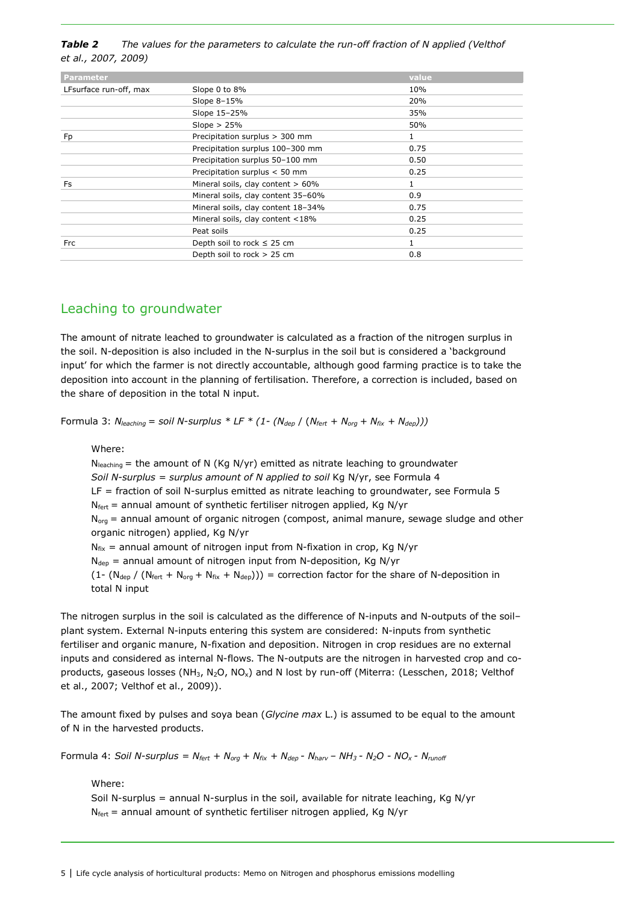*Table 2 The values for the parameters to calculate the run-off fraction of N applied (Velthof et al., 2007, 2009)*

| <b>Parameter</b>       |                                      | value        |
|------------------------|--------------------------------------|--------------|
| LFsurface run-off, max | Slope 0 to 8%                        | 10%          |
|                        | Slope 8-15%                          | 20%          |
|                        | Slope 15-25%                         | 35%          |
|                        | Slope $> 25%$                        | 50%          |
| Fp                     | Precipitation surplus > 300 mm       | 1            |
|                        | Precipitation surplus 100-300 mm     | 0.75         |
|                        | Precipitation surplus 50-100 mm      | 0.50         |
|                        | Precipitation surplus < 50 mm        | 0.25         |
| Fs                     | Mineral soils, clay content $> 60\%$ | $\mathbf{1}$ |
|                        | Mineral soils, clay content 35-60%   | 0.9          |
|                        | Mineral soils, clay content 18-34%   | 0.75         |
|                        | Mineral soils, clay content <18%     | 0.25         |
|                        | Peat soils                           | 0.25         |
| <b>Frc</b>             | Depth soil to rock $\leq$ 25 cm      | $\mathbf{1}$ |
|                        | Depth soil to rock > 25 cm           | 0.8          |

## Leaching to groundwater

The amount of nitrate leached to groundwater is calculated as a fraction of the nitrogen surplus in the soil. N-deposition is also included in the N-surplus in the soil but is considered a 'background input' for which the farmer is not directly accountable, although good farming practice is to take the deposition into account in the planning of fertilisation. Therefore, a correction is included, based on the share of deposition in the total N input.

Formula 3:  $N_{leaching} = soil N-surplus * LF * (1 - (N_{dep}) / (N_{fert} + N_{org} + N_{fix} + N_{dep})))$ 

Where:

 $N_{\text{leaching}}$  = the amount of N (Kg N/yr) emitted as nitrate leaching to groundwater *Soil N-surplus = surplus amount of N applied to soil* Kg N/yr, see Formula 4 LF = fraction of soil N-surplus emitted as nitrate leaching to groundwater, see Formula 5  $N_{\text{fert}}$  = annual amount of synthetic fertiliser nitrogen applied, Kg N/yr  $N_{org}$  = annual amount of organic nitrogen (compost, animal manure, sewage sludge and other organic nitrogen) applied, Kg N/yr  $N_{fix}$  = annual amount of nitrogen input from N-fixation in crop, Kg N/yr  $N_{dep}$  = annual amount of nitrogen input from N-deposition, Kg N/yr  $(1 - (N_{dep}) / (N_{fert} + N_{org} + N_{fix} + N_{dep}))$  = correction factor for the share of N-deposition in total N input

The nitrogen surplus in the soil is calculated as the difference of N-inputs and N-outputs of the soil– plant system. External N-inputs entering this system are considered: N-inputs from synthetic fertiliser and organic manure, N-fixation and deposition. Nitrogen in crop residues are no external inputs and considered as internal N-flows. The N-outputs are the nitrogen in harvested crop and coproducts, gaseous losses (NH<sub>3</sub>, N<sub>2</sub>O, NO<sub>x</sub>) and N lost by run-off (Miterra: (Lesschen, 2018; Velthof et al., 2007; Velthof et al., 2009)).

The amount fixed by pulses and soya bean (*Glycine max* L.) is assumed to be equal to the amount of N in the harvested products.

Formula 4: *Soil N-surplus = Nfert + Norg + Nfix + Ndep - Nharv – NH3 - N2O - NOx - Nrunoff*

Where:

Soil N-surplus = annual N-surplus in the soil, available for nitrate leaching, Kg N/yr  $N_{\text{fert}}$  = annual amount of synthetic fertiliser nitrogen applied, Kg N/yr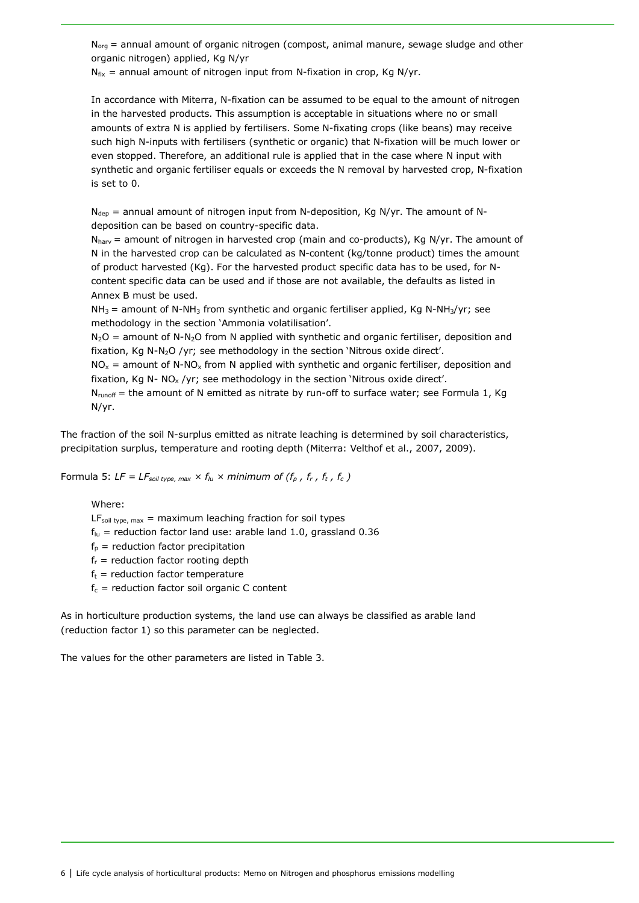$N<sub>ora</sub>$  = annual amount of organic nitrogen (compost, animal manure, sewage sludge and other organic nitrogen) applied, Kg N/yr

 $N_{fix}$  = annual amount of nitrogen input from N-fixation in crop, Kg N/yr.

In accordance with Miterra, N-fixation can be assumed to be equal to the amount of nitrogen in the harvested products. This assumption is acceptable in situations where no or small amounts of extra N is applied by fertilisers. Some N-fixating crops (like beans) may receive such high N-inputs with fertilisers (synthetic or organic) that N-fixation will be much lower or even stopped. Therefore, an additional rule is applied that in the case where N input with synthetic and organic fertiliser equals or exceeds the N removal by harvested crop, N-fixation is set to 0.

 $N_{\text{dep}}$  = annual amount of nitrogen input from N-deposition, Kg N/yr. The amount of Ndeposition can be based on country-specific data.

 $N<sub>hary</sub>$  = amount of nitrogen in harvested crop (main and co-products), Kg N/yr. The amount of N in the harvested crop can be calculated as N-content (kg/tonne product) times the amount of product harvested (Kg). For the harvested product specific data has to be used, for Ncontent specific data can be used and if those are not available, the defaults as listed in Annex B must be used.

 $NH<sub>3</sub>$  = amount of N-NH<sub>3</sub> from synthetic and organic fertiliser applied, Kg N-NH<sub>3</sub>/yr; see methodology in the section 'Ammonia volatilisation'.

 $N_2O$  = amount of N-N<sub>2</sub>O from N applied with synthetic and organic fertiliser, deposition and fixation, Kg N-N2O /yr; see methodology in the section 'Nitrous oxide direct'.

 $NO<sub>x</sub>$  = amount of N-NO<sub>x</sub> from N applied with synthetic and organic fertiliser, deposition and fixation, Kg N-  $NO<sub>x</sub>$ /yr; see methodology in the section 'Nitrous oxide direct'.

N<sub>runoff</sub> = the amount of N emitted as nitrate by run-off to surface water; see Formula 1, Kg N/yr.

The fraction of the soil N-surplus emitted as nitrate leaching is determined by soil characteristics, precipitation surplus, temperature and rooting depth (Miterra: Velthof et al., 2007, 2009).

Formula 5:  $LF = LF_{\text{solid type, max}} \times f_{\text{lu}} \times \text{minimum of } (f_{\text{p}} \, , \, f_{\text{r}} \, , \, f_{\text{t}} \, , \, f_{\text{c}})$ 

#### Where:

 $LF<sub>soil type, max</sub> = maximum leading fraction for soil types$ 

- $f<sub>lu</sub>$  = reduction factor land use: arable land 1.0, grassland 0.36
- $f_p$  = reduction factor precipitation
- $f_r$  = reduction factor rooting depth
- $f_t$  = reduction factor temperature
- $f_c$  = reduction factor soil organic C content

As in horticulture production systems, the land use can always be classified as arable land (reduction factor 1) so this parameter can be neglected.

The values for the other parameters are listed in Table 3.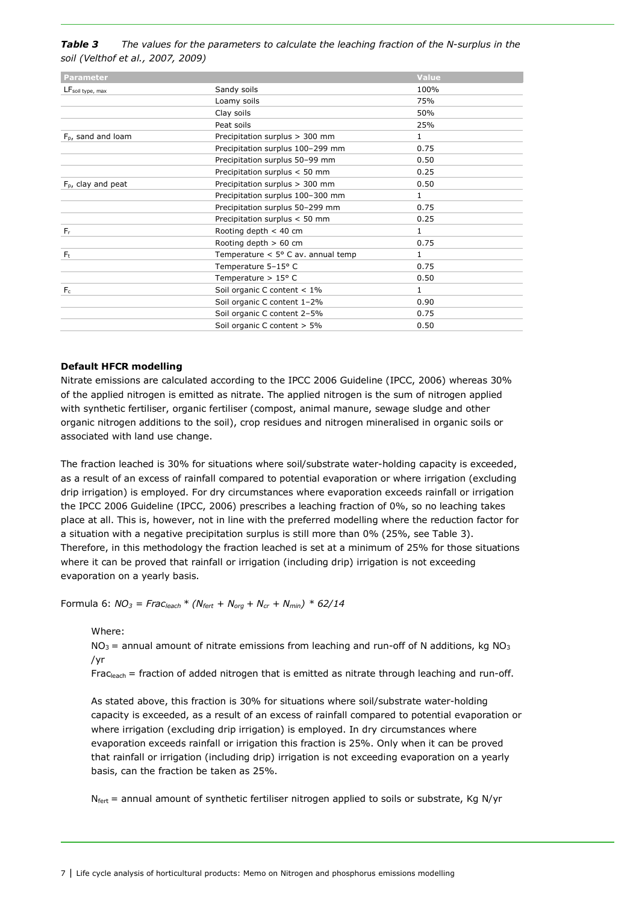*Table 3 The values for the parameters to calculate the leaching fraction of the N-surplus in the soil (Velthof et al., 2007, 2009)*

| <b>Parameter</b>               |                                             | <b>Value</b> |
|--------------------------------|---------------------------------------------|--------------|
| LF <sub>soil type, max</sub>   | Sandy soils                                 | 100%         |
|                                | Loamy soils                                 | 75%          |
|                                | Clay soils                                  | 50%          |
|                                | Peat soils                                  | 25%          |
| F <sub>p</sub> , sand and loam | Precipitation surplus > 300 mm              | $\mathbf{1}$ |
|                                | Precipitation surplus 100-299 mm            | 0.75         |
|                                | Precipitation surplus 50-99 mm              | 0.50         |
|                                | Precipitation surplus < 50 mm               | 0.25         |
| $FD$ , clay and peat           | Precipitation surplus > 300 mm              | 0.50         |
|                                | Precipitation surplus 100-300 mm            | $\mathbf{1}$ |
|                                | Precipitation surplus 50-299 mm             | 0.75         |
|                                | Precipitation surplus < 50 mm               | 0.25         |
| $F_r$                          | Rooting depth $< 40$ cm                     | $\mathbf{1}$ |
|                                | Rooting depth $> 60$ cm                     | 0.75         |
| $F_{t}$                        | Temperature $< 5^{\circ}$ C av. annual temp | $\mathbf{1}$ |
|                                | Temperature 5-15° C                         | 0.75         |
|                                | Temperature $> 15^{\circ}$ C                | 0.50         |
| $F_c$                          | Soil organic C content $< 1\%$              | $\mathbf{1}$ |
|                                | Soil organic C content 1-2%                 | 0.90         |
|                                | Soil organic C content 2-5%                 | 0.75         |
|                                | Soil organic C content > 5%                 | 0.50         |
|                                |                                             |              |

#### **Default HFCR modelling**

Nitrate emissions are calculated according to the IPCC 2006 Guideline (IPCC, 2006) whereas 30% of the applied nitrogen is emitted as nitrate. The applied nitrogen is the sum of nitrogen applied with synthetic fertiliser, organic fertiliser (compost, animal manure, sewage sludge and other organic nitrogen additions to the soil), crop residues and nitrogen mineralised in organic soils or associated with land use change.

The fraction leached is 30% for situations where soil/substrate water-holding capacity is exceeded, as a result of an excess of rainfall compared to potential evaporation or where irrigation (excluding drip irrigation) is employed. For dry circumstances where evaporation exceeds rainfall or irrigation the IPCC 2006 Guideline (IPCC, 2006) prescribes a leaching fraction of 0%, so no leaching takes place at all. This is, however, not in line with the preferred modelling where the reduction factor for a situation with a negative precipitation surplus is still more than 0% (25%, see Table 3). Therefore, in this methodology the fraction leached is set at a minimum of 25% for those situations where it can be proved that rainfall or irrigation (including drip) irrigation is not exceeding evaporation on a yearly basis.

#### Formula 6:  $NO_3$  =  $Frac_{leach} * (N_{fert} + N_{org} + N_{cr} + N_{min}) * 62/14$

#### Where:

 $NO<sub>3</sub>$  = annual amount of nitrate emissions from leaching and run-off of N additions, kg NO<sub>3</sub> /yr

Fracleach = fraction of added nitrogen that is emitted as nitrate through leaching and run-off.

As stated above, this fraction is 30% for situations where soil/substrate water-holding capacity is exceeded, as a result of an excess of rainfall compared to potential evaporation or where irrigation (excluding drip irrigation) is employed. In dry circumstances where evaporation exceeds rainfall or irrigation this fraction is 25%. Only when it can be proved that rainfall or irrigation (including drip) irrigation is not exceeding evaporation on a yearly basis, can the fraction be taken as 25%.

 $N_{\text{fert}}$  = annual amount of synthetic fertiliser nitrogen applied to soils or substrate, Kg N/yr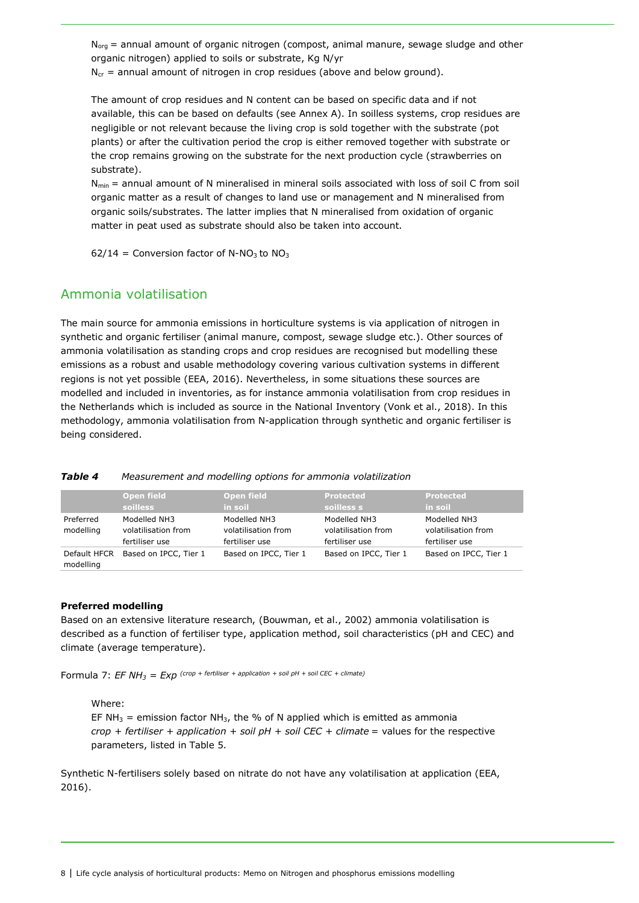$N<sub>ora</sub>$  = annual amount of organic nitrogen (compost, animal manure, sewage sludge and other organic nitrogen) applied to soils or substrate, Kg N/yr

 $N_{cr}$  = annual amount of nitrogen in crop residues (above and below ground).

The amount of crop residues and N content can be based on specific data and if not available, this can be based on defaults (see Annex A). In soilless systems, crop residues are negligible or not relevant because the living crop is sold together with the substrate (pot plants) or after the cultivation period the crop is either removed together with substrate or the crop remains growing on the substrate for the next production cycle (strawberries on substrate).

 $N_{min}$  = annual amount of N mineralised in mineral soils associated with loss of soil C from soil organic matter as a result of changes to land use or management and N mineralised from organic soils/substrates. The latter implies that N mineralised from oxidation of organic matter in peat used as substrate should also be taken into account.

 $62/14$  = Conversion factor of N-NO<sub>3</sub> to NO<sub>3</sub>

## Ammonia volatilisation

The main source for ammonia emissions in horticulture systems is via application of nitrogen in synthetic and organic fertiliser (animal manure, compost, sewage sludge etc.). Other sources of ammonia volatilisation as standing crops and crop residues are recognised but modelling these emissions as a robust and usable methodology covering various cultivation systems in different regions is not yet possible (EEA, 2016). Nevertheless, in some situations these sources are modelled and included in inventories, as for instance ammonia volatilisation from crop residues in the Netherlands which is included as source in the National Inventory (Vonk et al., 2018). In this methodology, ammonia volatilisation from N-application through synthetic and organic fertiliser is being considered.

#### *Table 4 Measurement and modelling options for ammonia volatilization*

|                           | <b>Open field</b>     | <b>Open field</b>     | <b>Protected</b>      | Protected             |
|---------------------------|-----------------------|-----------------------|-----------------------|-----------------------|
|                           | <b>soilless</b>       | in soil               | soilless s            | in soil               |
| Preferred                 | Modelled NH3          | Modelled NH3          | Modelled NH3          | Modelled NH3          |
| modelling                 | volatilisation from   | volatilisation from   | volatilisation from   | volatilisation from   |
|                           | fertiliser use        | fertiliser use        | fertiliser use        | fertiliser use        |
| Default HFCR<br>modelling | Based on IPCC, Tier 1 | Based on IPCC, Tier 1 | Based on IPCC, Tier 1 | Based on IPCC, Tier 1 |

#### **Preferred modelling**

Based on an extensive literature research, (Bouwman, et al., 2002) ammonia volatilisation is described as a function of fertiliser type, application method, soil characteristics (pH and CEC) and climate (average temperature).

Formula 7: *EF NH3 = Exp (crop + fertiliser + application + soil pH + soil CEC + climate)*

Where:

EF NH<sub>3</sub> = emission factor NH<sub>3</sub>, the % of N applied which is emitted as ammonia  $crop$  + fertiliser + application + soil  $pH$  + soil CEC + climate = values for the respective parameters, listed in Table 5.

Synthetic N-fertilisers solely based on nitrate do not have any volatilisation at application (EEA, 2016).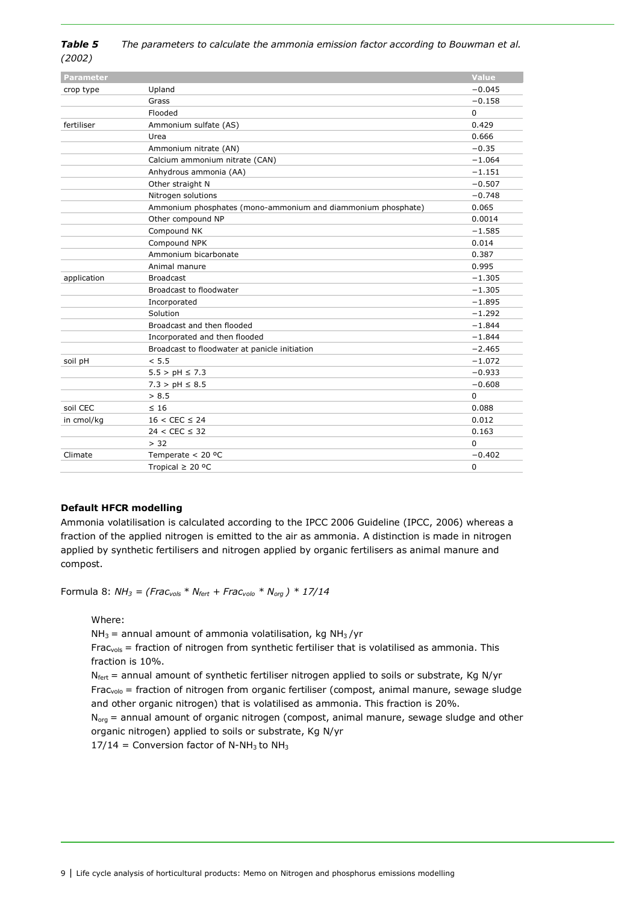| Table 5 | The parameters to calculate the ammonia emission factor according to Bouwman et al. |
|---------|-------------------------------------------------------------------------------------|
| (2002)  |                                                                                     |

| <b>Parameter</b> |                                                              | <b>Value</b> |
|------------------|--------------------------------------------------------------|--------------|
| crop type        | Upland                                                       | $-0.045$     |
|                  | Grass                                                        | $-0.158$     |
|                  | Flooded                                                      | 0            |
| fertiliser       | Ammonium sulfate (AS)                                        | 0.429        |
|                  | Urea                                                         | 0.666        |
|                  | Ammonium nitrate (AN)                                        | $-0.35$      |
|                  | Calcium ammonium nitrate (CAN)                               | $-1.064$     |
|                  | Anhydrous ammonia (AA)                                       | $-1.151$     |
|                  | Other straight N                                             | $-0.507$     |
|                  | Nitrogen solutions                                           | $-0.748$     |
|                  | Ammonium phosphates (mono-ammonium and diammonium phosphate) | 0.065        |
|                  | Other compound NP                                            | 0.0014       |
|                  | Compound NK                                                  | $-1.585$     |
|                  | Compound NPK                                                 | 0.014        |
|                  | Ammonium bicarbonate                                         | 0.387        |
|                  | Animal manure                                                | 0.995        |
| application      | <b>Broadcast</b>                                             | $-1.305$     |
|                  | Broadcast to floodwater                                      | $-1.305$     |
|                  | Incorporated                                                 | $-1.895$     |
|                  | Solution                                                     | $-1.292$     |
|                  | Broadcast and then flooded                                   | $-1.844$     |
|                  | Incorporated and then flooded                                | $-1.844$     |
|                  | Broadcast to floodwater at panicle initiation                | $-2.465$     |
| soil pH          | < 5.5                                                        | $-1.072$     |
|                  | $5.5 > pH \le 7.3$                                           | $-0.933$     |
|                  | $7.3 > pH \leq 8.5$                                          | $-0.608$     |
|                  | > 8.5                                                        | 0            |
| soil CEC         | $\leq 16$                                                    | 0.088        |
| in cmol/kg       | $16 < CEC \le 24$                                            | 0.012        |
|                  | $24 < CEC \leq 32$                                           | 0.163        |
|                  | > 32                                                         | 0            |
| Climate          | Temperate $< 20$ °C                                          | $-0.402$     |
|                  | Tropical $\geq$ 20 °C                                        | $\mathbf 0$  |

#### **Default HFCR modelling**

Ammonia volatilisation is calculated according to the IPCC 2006 Guideline (IPCC, 2006) whereas a fraction of the applied nitrogen is emitted to the air as ammonia. A distinction is made in nitrogen applied by synthetic fertilisers and nitrogen applied by organic fertilisers as animal manure and compost.

Formula 8: *NH3 = (Fracvols \* Nfert + Fracvolo \* Norg ) \* 17/14*

Where:

 $NH<sub>3</sub>$  = annual amount of ammonia volatilisation, kg NH<sub>3</sub>/yr

 $Frac_{vols}$  = fraction of nitrogen from synthetic fertiliser that is volatilised as ammonia. This fraction is 10%.

 $N_{\text{fert}}$  = annual amount of synthetic fertiliser nitrogen applied to soils or substrate, Kg N/yr Frac<sub>volo</sub> = fraction of nitrogen from organic fertiliser (compost, animal manure, sewage sludge and other organic nitrogen) that is volatilised as ammonia. This fraction is 20%.

 $N_{org}$  = annual amount of organic nitrogen (compost, animal manure, sewage sludge and other organic nitrogen) applied to soils or substrate, Kg N/yr

 $17/14$  = Conversion factor of N-NH<sub>3</sub> to NH<sub>3</sub>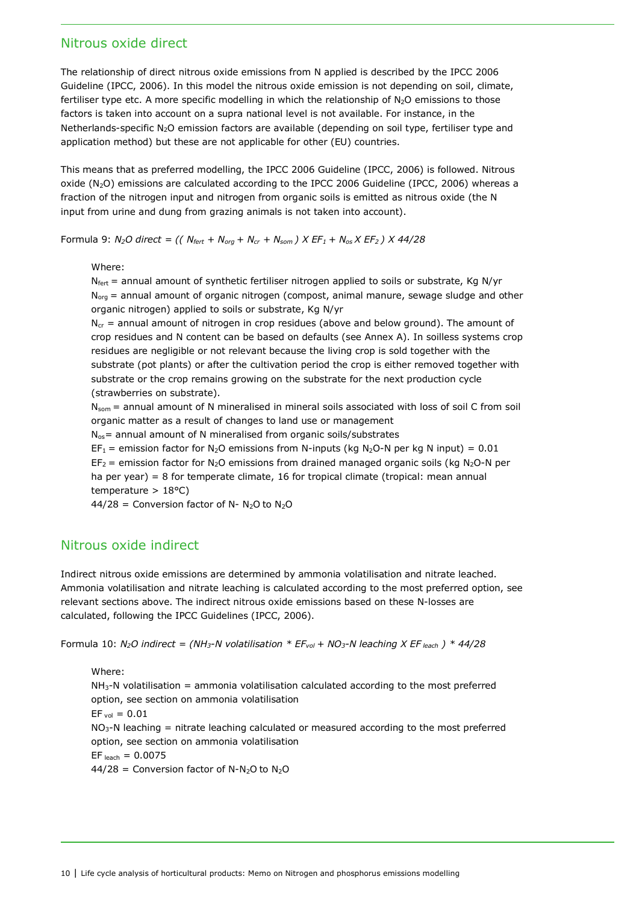## Nitrous oxide direct

The relationship of direct nitrous oxide emissions from N applied is described by the IPCC 2006 Guideline (IPCC, 2006). In this model the nitrous oxide emission is not depending on soil, climate, fertiliser type etc. A more specific modelling in which the relationship of N<sub>2</sub>O emissions to those factors is taken into account on a supra national level is not available. For instance, in the Netherlands-specific N<sub>2</sub>O emission factors are available (depending on soil type, fertiliser type and application method) but these are not applicable for other (EU) countries.

This means that as preferred modelling, the IPCC 2006 Guideline (IPCC, 2006) is followed. Nitrous oxide  $(N_2O)$  emissions are calculated according to the IPCC 2006 Guideline (IPCC, 2006) whereas a fraction of the nitrogen input and nitrogen from organic soils is emitted as nitrous oxide (the N input from urine and dung from grazing animals is not taken into account).

Formula 9:  $N_2O$  direct = (( $N_{fert}$  +  $N_{org}$  +  $N_{cr}$  +  $N_{som}$ )  $X$  EF<sub>1</sub> +  $N_{os}X$  EF<sub>2</sub>)  $X$  44/28

#### Where:

 $N_{\text{fert}}$  = annual amount of synthetic fertiliser nitrogen applied to soils or substrate, Kg N/yr  $N_{org}$  = annual amount of organic nitrogen (compost, animal manure, sewage sludge and other organic nitrogen) applied to soils or substrate, Kg N/yr

 $N_{cr}$  = annual amount of nitrogen in crop residues (above and below ground). The amount of crop residues and N content can be based on defaults (see Annex A). In soilless systems crop residues are negligible or not relevant because the living crop is sold together with the substrate (pot plants) or after the cultivation period the crop is either removed together with substrate or the crop remains growing on the substrate for the next production cycle (strawberries on substrate).

 $N_{\text{som}}$  = annual amount of N mineralised in mineral soils associated with loss of soil C from soil organic matter as a result of changes to land use or management

 $N_{os}$  = annual amount of N mineralised from organic soils/substrates

 $EF_1$  = emission factor for N<sub>2</sub>O emissions from N-inputs (kg N<sub>2</sub>O-N per kg N input) = 0.01  $EF_2$  = emission factor for N<sub>2</sub>O emissions from drained managed organic soils (kg N<sub>2</sub>O-N per ha per year) = 8 for temperate climate, 16 for tropical climate (tropical: mean annual temperature > 18°C)

 $44/28$  = Conversion factor of N- N<sub>2</sub>O to N<sub>2</sub>O

## Nitrous oxide indirect

Indirect nitrous oxide emissions are determined by ammonia volatilisation and nitrate leached. Ammonia volatilisation and nitrate leaching is calculated according to the most preferred option, see relevant sections above. The indirect nitrous oxide emissions based on these N-losses are calculated, following the IPCC Guidelines (IPCC, 2006).

Formula 10: *N2O indirect = (NH3-N volatilisation \* EFvol + NO3-N leaching X EF leach ) \* 44/28*

Where:  $NH<sub>3</sub>-N$  volatilisation = ammonia volatilisation calculated according to the most preferred option, see section on ammonia volatilisation  $EF_{vol} = 0.01$  $NO<sub>3</sub>$ -N leaching = nitrate leaching calculated or measured according to the most preferred option, see section on ammonia volatilisation  $EF$  leach = 0.0075  $44/28$  = Conversion factor of N-N<sub>2</sub>O to N<sub>2</sub>O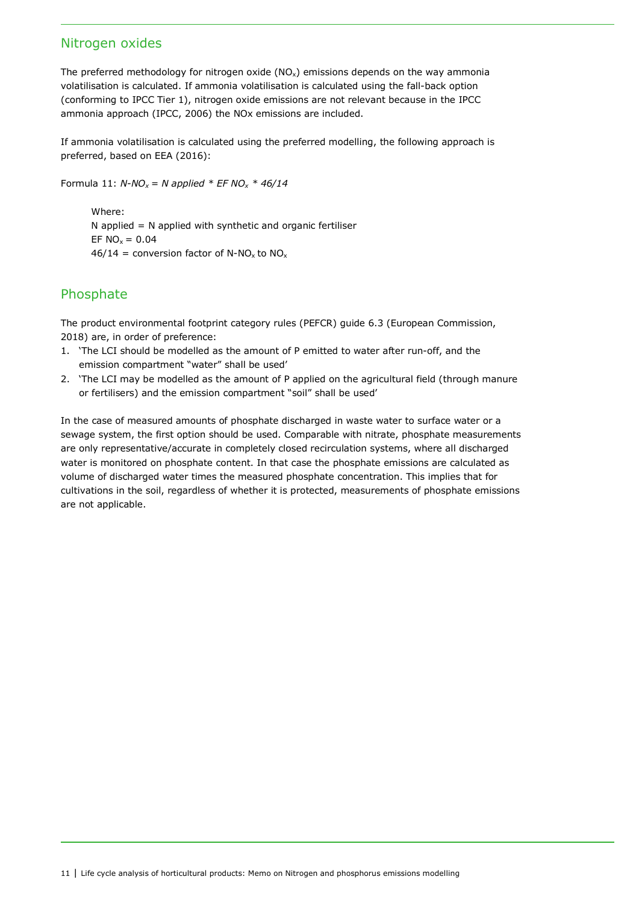## Nitrogen oxides

The preferred methodology for nitrogen oxide  $(NO<sub>x</sub>)$  emissions depends on the way ammonia volatilisation is calculated. If ammonia volatilisation is calculated using the fall-back option (conforming to IPCC Tier 1), nitrogen oxide emissions are not relevant because in the IPCC ammonia approach (IPCC, 2006) the NOx emissions are included.

If ammonia volatilisation is calculated using the preferred modelling, the following approach is preferred, based on EEA (2016):

Formula 11:  $N-NO_x = N$  applied  $*$  EF NO<sub>x</sub>  $*$  46/14

Where:  $N$  applied =  $N$  applied with synthetic and organic fertiliser EF  $NO_x = 0.04$  $46/14$  = conversion factor of N-NO<sub>x</sub> to NO<sub>x</sub>

## Phosphate

The product environmental footprint category rules (PEFCR) guide 6.3 (European Commission, 2018) are, in order of preference:

- 1. 'The LCI should be modelled as the amount of P emitted to water after run-off, and the emission compartment "water" shall be used'
- 2. 'The LCI may be modelled as the amount of P applied on the agricultural field (through manure or fertilisers) and the emission compartment "soil" shall be used'

In the case of measured amounts of phosphate discharged in waste water to surface water or a sewage system, the first option should be used. Comparable with nitrate, phosphate measurements are only representative/accurate in completely closed recirculation systems, where all discharged water is monitored on phosphate content. In that case the phosphate emissions are calculated as volume of discharged water times the measured phosphate concentration. This implies that for cultivations in the soil, regardless of whether it is protected, measurements of phosphate emissions are not applicable.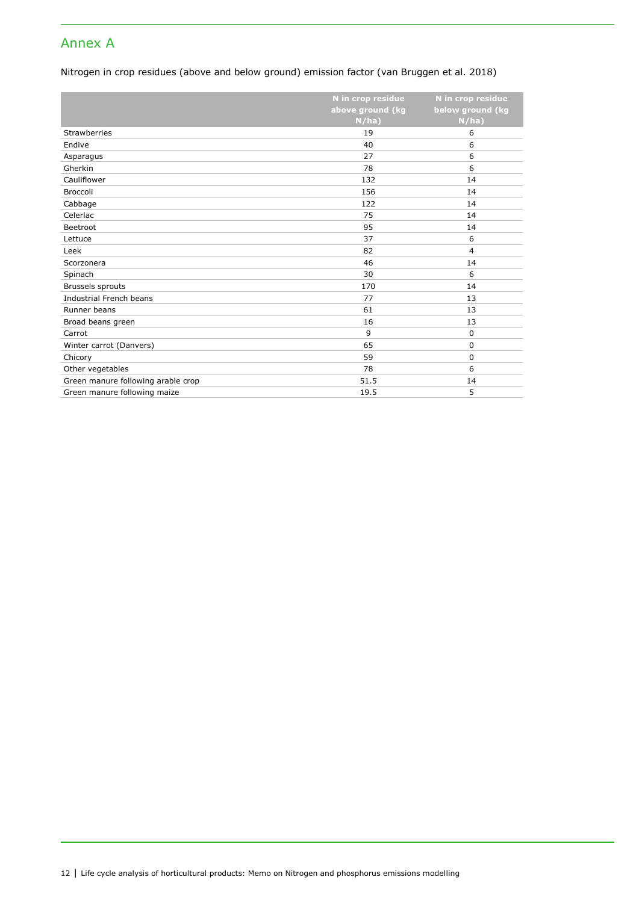## Annex A

### Nitrogen in crop residues (above and below ground) emission factor (van Bruggen et al. 2018)

|                                    | N in crop residue | N in crop residue |
|------------------------------------|-------------------|-------------------|
|                                    | above ground (kg  | below ground (kg  |
|                                    | N/ha)             | N/ha)             |
| <b>Strawberries</b>                | 19                | 6                 |
| Endive                             | 40                | 6                 |
| Asparagus                          | 27                | 6                 |
| Gherkin                            | 78                | 6                 |
| Cauliflower                        | 132               | 14                |
| Broccoli                           | 156               | 14                |
| Cabbage                            | 122               | 14                |
| Celerlac                           | 75                | 14                |
| Beetroot                           | 95                | 14                |
| Lettuce                            | 37                | 6                 |
| Leek                               | 82                | $\overline{4}$    |
| Scorzonera                         | 46                | 14                |
| Spinach                            | 30                | 6                 |
| Brussels sprouts                   | 170               | 14                |
| Industrial French beans            | 77                | 13                |
| Runner beans                       | 61                | 13                |
| Broad beans green                  | 16                | 13                |
| Carrot                             | 9                 | 0                 |
| Winter carrot (Danvers)            | 65                | 0                 |
| Chicory                            | 59                | 0                 |
| Other vegetables                   | 78                | 6                 |
| Green manure following arable crop | 51.5              | 14                |
| Green manure following maize       | 19.5              | 5                 |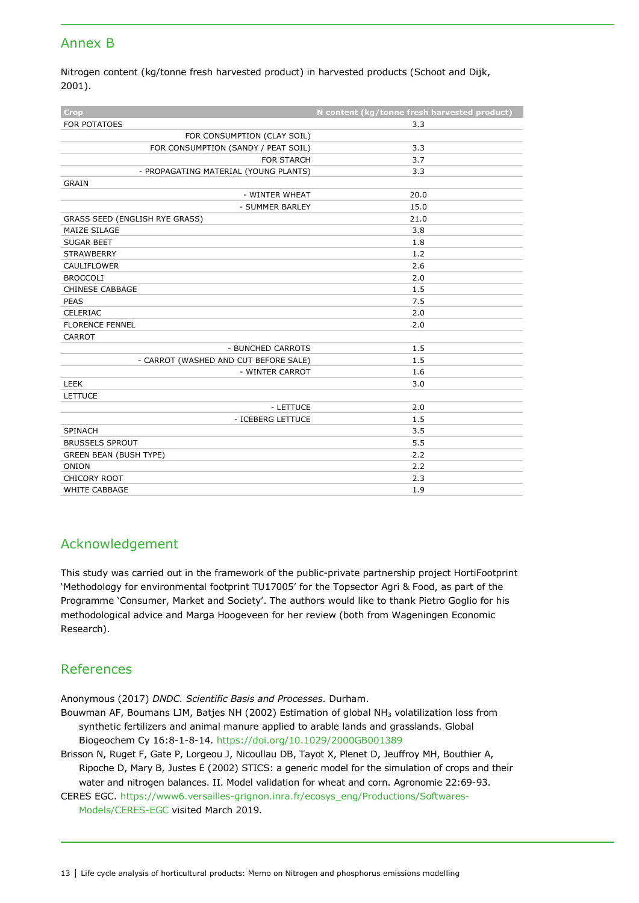## Annex B

Nitrogen content (kg/tonne fresh harvested product) in harvested products (Schoot and Dijk, 2001).

| <b>Crop</b>                           | N content (kg/tonne fresh harvested product) |
|---------------------------------------|----------------------------------------------|
| <b>FOR POTATOES</b>                   | 3.3                                          |
| FOR CONSUMPTION (CLAY SOIL)           |                                              |
| FOR CONSUMPTION (SANDY / PEAT SOIL)   | 3.3                                          |
| <b>FOR STARCH</b>                     | 3.7                                          |
| - PROPAGATING MATERIAL (YOUNG PLANTS) | 3.3                                          |
| <b>GRAIN</b>                          |                                              |
| - WINTER WHEAT                        | 20.0                                         |
| - SUMMER BARLEY                       | 15.0                                         |
| GRASS SEED (ENGLISH RYE GRASS)        | 21.0                                         |
| MAIZE SILAGE                          | 3.8                                          |
| <b>SUGAR BEET</b>                     | 1.8                                          |
| <b>STRAWBERRY</b>                     | 1.2                                          |
| <b>CAULIFLOWER</b>                    | 2.6                                          |
| <b>BROCCOLI</b>                       | 2.0                                          |
| <b>CHINESE CABBAGE</b>                | 1.5                                          |
| <b>PEAS</b>                           | 7.5                                          |
| CELERIAC                              | 2.0                                          |
| <b>FLORENCE FENNEL</b>                | 2.0                                          |
| CARROT                                |                                              |
| - BUNCHED CARROTS                     | 1.5                                          |
| - CARROT (WASHED AND CUT BEFORE SALE) | 1.5                                          |
| - WINTER CARROT                       | 1.6                                          |
| <b>LEEK</b>                           | 3.0                                          |
| <b>LETTUCE</b>                        |                                              |
| - LETTUCE                             | 2.0                                          |
| - ICEBERG LETTUCE                     | 1.5                                          |
| <b>SPINACH</b>                        | 3.5                                          |
| <b>BRUSSELS SPROUT</b>                | 5.5                                          |
| <b>GREEN BEAN (BUSH TYPE)</b>         | 2.2                                          |
| <b>ONION</b>                          | 2.2                                          |
| CHICORY ROOT                          | 2.3                                          |
| <b>WHITE CABBAGE</b>                  | 1.9                                          |

## Acknowledgement

This study was carried out in the framework of the public-private partnership project HortiFootprint 'Methodology for environmental footprint TU17005' for the Topsector Agri & Food, as part of the Programme 'Consumer, Market and Society'. The authors would like to thank Pietro Goglio for his methodological advice and Marga Hoogeveen for her review (both from Wageningen Economic Research).

## References

Anonymous (2017) *DNDC. Scientific Basis and Processes*. Durham.

Bouwman AF, Boumans LJM, Batjes NH (2002) Estimation of global NH<sub>3</sub> volatilization loss from synthetic fertilizers and animal manure applied to arable lands and grasslands. Global Biogeochem Cy 16:8-1-8-14. https://doi.org/10.1029/2000GB001389

Brisson N, Ruget F, Gate P, Lorgeou J, Nicoullau DB, Tayot X, Plenet D, Jeuffroy MH, Bouthier A, Ripoche D, Mary B, Justes E (2002) STICS: a generic model for the simulation of crops and their water and nitrogen balances. II. Model validation for wheat and corn. Agronomie 22:69-93.

CERES EGC. [https://www6.versailles-grignon.inra.fr/ecosys\\_eng/Productions/Softwares-](https://www6.versailles-grignon.inra.fr/ecosys_eng/Productions/Softwares-Models/CERES-EGC)[Models/CERES-EGC](https://www6.versailles-grignon.inra.fr/ecosys_eng/Productions/Softwares-Models/CERES-EGC) visited March 2019.